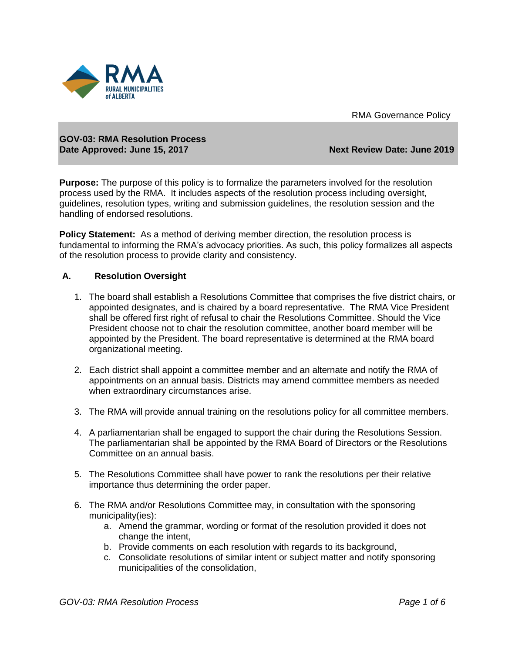



## **GOV-03: RMA Resolution Process Date Approved: June 15, 2017** Next Review Date: June 2019

**Purpose:** The purpose of this policy is to formalize the parameters involved for the resolution process used by the RMA. It includes aspects of the resolution process including oversight, guidelines, resolution types, writing and submission guidelines, the resolution session and the handling of endorsed resolutions.

**Policy Statement:** As a method of deriving member direction, the resolution process is fundamental to informing the RMA's advocacy priorities. As such, this policy formalizes all aspects of the resolution process to provide clarity and consistency.

# **A. Resolution Oversight**

- 1. The board shall establish a Resolutions Committee that comprises the five district chairs, or appointed designates, and is chaired by a board representative. The RMA Vice President shall be offered first right of refusal to chair the Resolutions Committee. Should the Vice President choose not to chair the resolution committee, another board member will be appointed by the President. The board representative is determined at the RMA board organizational meeting.
- 2. Each district shall appoint a committee member and an alternate and notify the RMA of appointments on an annual basis. Districts may amend committee members as needed when extraordinary circumstances arise.
- 3. The RMA will provide annual training on the resolutions policy for all committee members.
- 4. A parliamentarian shall be engaged to support the chair during the Resolutions Session. The parliamentarian shall be appointed by the RMA Board of Directors or the Resolutions Committee on an annual basis.
- 5. The Resolutions Committee shall have power to rank the resolutions per their relative importance thus determining the order paper.
- 6. The RMA and/or Resolutions Committee may, in consultation with the sponsoring municipality(ies):
	- a. Amend the grammar, wording or format of the resolution provided it does not change the intent,
	- b. Provide comments on each resolution with regards to its background,
	- c. Consolidate resolutions of similar intent or subject matter and notify sponsoring municipalities of the consolidation,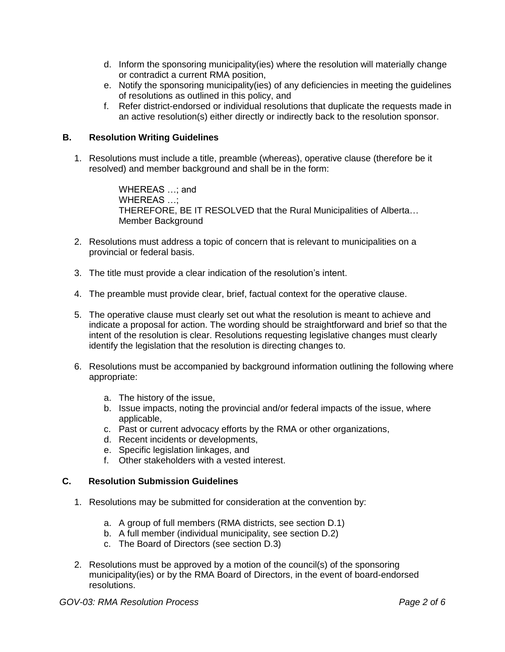- d. Inform the sponsoring municipality(ies) where the resolution will materially change or contradict a current RMA position,
- e. Notify the sponsoring municipality(ies) of any deficiencies in meeting the guidelines of resolutions as outlined in this policy, and
- f. Refer district-endorsed or individual resolutions that duplicate the requests made in an active resolution(s) either directly or indirectly back to the resolution sponsor.

# **B. Resolution Writing Guidelines**

1. Resolutions must include a title, preamble (whereas), operative clause (therefore be it resolved) and member background and shall be in the form:

> WHEREAS …; and WHEREAS …; THEREFORE, BE IT RESOLVED that the Rural Municipalities of Alberta… Member Background

- 2. Resolutions must address a topic of concern that is relevant to municipalities on a provincial or federal basis.
- 3. The title must provide a clear indication of the resolution's intent.
- 4. The preamble must provide clear, brief, factual context for the operative clause.
- 5. The operative clause must clearly set out what the resolution is meant to achieve and indicate a proposal for action. The wording should be straightforward and brief so that the intent of the resolution is clear. Resolutions requesting legislative changes must clearly identify the legislation that the resolution is directing changes to.
- 6. Resolutions must be accompanied by background information outlining the following where appropriate:
	- a. The history of the issue,
	- b. Issue impacts, noting the provincial and/or federal impacts of the issue, where applicable,
	- c. Past or current advocacy efforts by the RMA or other organizations,
	- d. Recent incidents or developments,
	- e. Specific legislation linkages, and
	- f. Other stakeholders with a vested interest.

## **C. Resolution Submission Guidelines**

- 1. Resolutions may be submitted for consideration at the convention by:
	- a. A group of full members (RMA districts, see section D.1)
	- b. A full member (individual municipality, see section D.2)
	- c. The Board of Directors (see section D.3)
- 2. Resolutions must be approved by a motion of the council(s) of the sponsoring municipality(ies) or by the RMA Board of Directors, in the event of board-endorsed resolutions.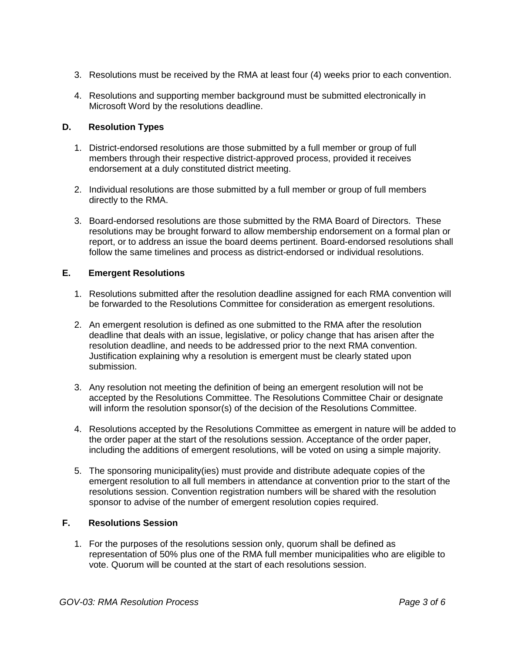- 3. Resolutions must be received by the RMA at least four (4) weeks prior to each convention.
- 4. Resolutions and supporting member background must be submitted electronically in Microsoft Word by the resolutions deadline.

# **D. Resolution Types**

- 1. District-endorsed resolutions are those submitted by a full member or group of full members through their respective district-approved process, provided it receives endorsement at a duly constituted district meeting.
- 2. Individual resolutions are those submitted by a full member or group of full members directly to the RMA.
- 3. Board-endorsed resolutions are those submitted by the RMA Board of Directors. These resolutions may be brought forward to allow membership endorsement on a formal plan or report, or to address an issue the board deems pertinent. Board-endorsed resolutions shall follow the same timelines and process as district-endorsed or individual resolutions.

## **E. Emergent Resolutions**

- 1. Resolutions submitted after the resolution deadline assigned for each RMA convention will be forwarded to the Resolutions Committee for consideration as emergent resolutions.
- 2. An emergent resolution is defined as one submitted to the RMA after the resolution deadline that deals with an issue, legislative, or policy change that has arisen after the resolution deadline, and needs to be addressed prior to the next RMA convention. Justification explaining why a resolution is emergent must be clearly stated upon submission.
- 3. Any resolution not meeting the definition of being an emergent resolution will not be accepted by the Resolutions Committee. The Resolutions Committee Chair or designate will inform the resolution sponsor(s) of the decision of the Resolutions Committee.
- 4. Resolutions accepted by the Resolutions Committee as emergent in nature will be added to the order paper at the start of the resolutions session. Acceptance of the order paper, including the additions of emergent resolutions, will be voted on using a simple majority.
- 5. The sponsoring municipality(ies) must provide and distribute adequate copies of the emergent resolution to all full members in attendance at convention prior to the start of the resolutions session. Convention registration numbers will be shared with the resolution sponsor to advise of the number of emergent resolution copies required.

# **F. Resolutions Session**

1. For the purposes of the resolutions session only, quorum shall be defined as representation of 50% plus one of the RMA full member municipalities who are eligible to vote. Quorum will be counted at the start of each resolutions session.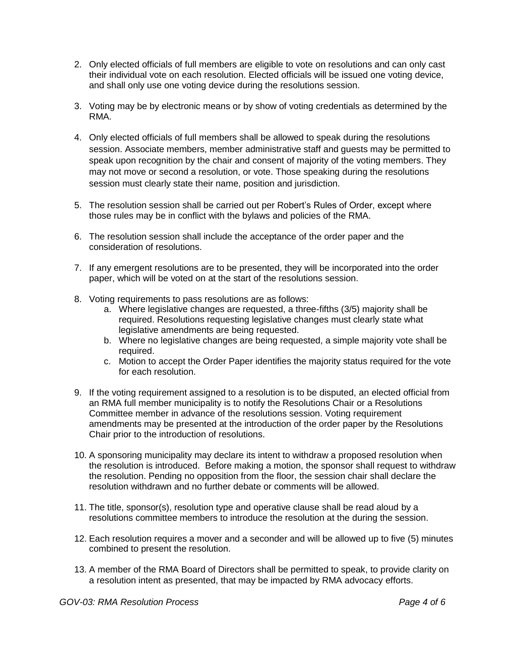- 2. Only elected officials of full members are eligible to vote on resolutions and can only cast their individual vote on each resolution. Elected officials will be issued one voting device, and shall only use one voting device during the resolutions session.
- 3. Voting may be by electronic means or by show of voting credentials as determined by the RMA.
- 4. Only elected officials of full members shall be allowed to speak during the resolutions session. Associate members, member administrative staff and guests may be permitted to speak upon recognition by the chair and consent of majority of the voting members. They may not move or second a resolution, or vote. Those speaking during the resolutions session must clearly state their name, position and jurisdiction.
- 5. The resolution session shall be carried out per Robert's Rules of Order, except where those rules may be in conflict with the bylaws and policies of the RMA.
- 6. The resolution session shall include the acceptance of the order paper and the consideration of resolutions.
- 7. If any emergent resolutions are to be presented, they will be incorporated into the order paper, which will be voted on at the start of the resolutions session.
- 8. Voting requirements to pass resolutions are as follows:
	- a. Where legislative changes are requested, a three-fifths (3/5) majority shall be required. Resolutions requesting legislative changes must clearly state what legislative amendments are being requested.
	- b. Where no legislative changes are being requested, a simple majority vote shall be required.
	- c. Motion to accept the Order Paper identifies the majority status required for the vote for each resolution.
- 9. If the voting requirement assigned to a resolution is to be disputed, an elected official from an RMA full member municipality is to notify the Resolutions Chair or a Resolutions Committee member in advance of the resolutions session. Voting requirement amendments may be presented at the introduction of the order paper by the Resolutions Chair prior to the introduction of resolutions.
- 10. A sponsoring municipality may declare its intent to withdraw a proposed resolution when the resolution is introduced. Before making a motion, the sponsor shall request to withdraw the resolution. Pending no opposition from the floor, the session chair shall declare the resolution withdrawn and no further debate or comments will be allowed.
- 11. The title, sponsor(s), resolution type and operative clause shall be read aloud by a resolutions committee members to introduce the resolution at the during the session.
- 12. Each resolution requires a mover and a seconder and will be allowed up to five (5) minutes combined to present the resolution.
- 13. A member of the RMA Board of Directors shall be permitted to speak, to provide clarity on a resolution intent as presented, that may be impacted by RMA advocacy efforts.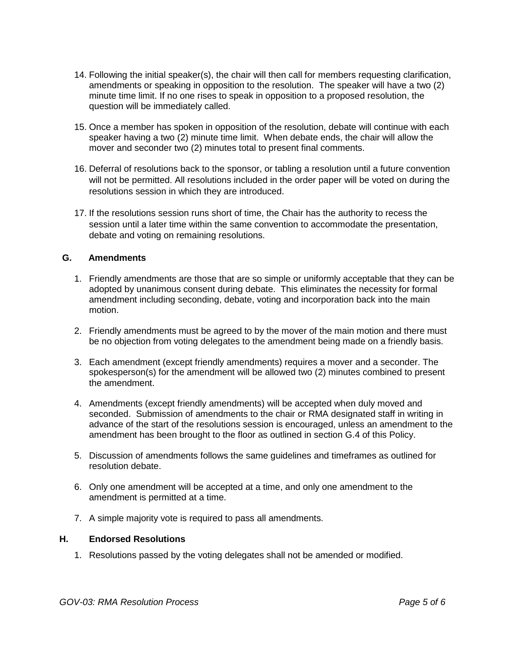- 14. Following the initial speaker(s), the chair will then call for members requesting clarification, amendments or speaking in opposition to the resolution. The speaker will have a two (2) minute time limit. If no one rises to speak in opposition to a proposed resolution, the question will be immediately called.
- 15. Once a member has spoken in opposition of the resolution, debate will continue with each speaker having a two (2) minute time limit. When debate ends, the chair will allow the mover and seconder two (2) minutes total to present final comments.
- 16. Deferral of resolutions back to the sponsor, or tabling a resolution until a future convention will not be permitted. All resolutions included in the order paper will be voted on during the resolutions session in which they are introduced.
- 17. If the resolutions session runs short of time, the Chair has the authority to recess the session until a later time within the same convention to accommodate the presentation, debate and voting on remaining resolutions.

# **G. Amendments**

- 1. Friendly amendments are those that are so simple or uniformly acceptable that they can be adopted by unanimous consent during debate. This eliminates the necessity for formal amendment including seconding, debate, voting and incorporation back into the main motion.
- 2. Friendly amendments must be agreed to by the mover of the main motion and there must be no objection from voting delegates to the amendment being made on a friendly basis.
- 3. Each amendment (except friendly amendments) requires a mover and a seconder. The spokesperson(s) for the amendment will be allowed two (2) minutes combined to present the amendment.
- 4. Amendments (except friendly amendments) will be accepted when duly moved and seconded. Submission of amendments to the chair or RMA designated staff in writing in advance of the start of the resolutions session is encouraged, unless an amendment to the amendment has been brought to the floor as outlined in section G.4 of this Policy.
- 5. Discussion of amendments follows the same guidelines and timeframes as outlined for resolution debate.
- 6. Only one amendment will be accepted at a time, and only one amendment to the amendment is permitted at a time.
- 7. A simple majority vote is required to pass all amendments.

#### **H. Endorsed Resolutions**

1. Resolutions passed by the voting delegates shall not be amended or modified.